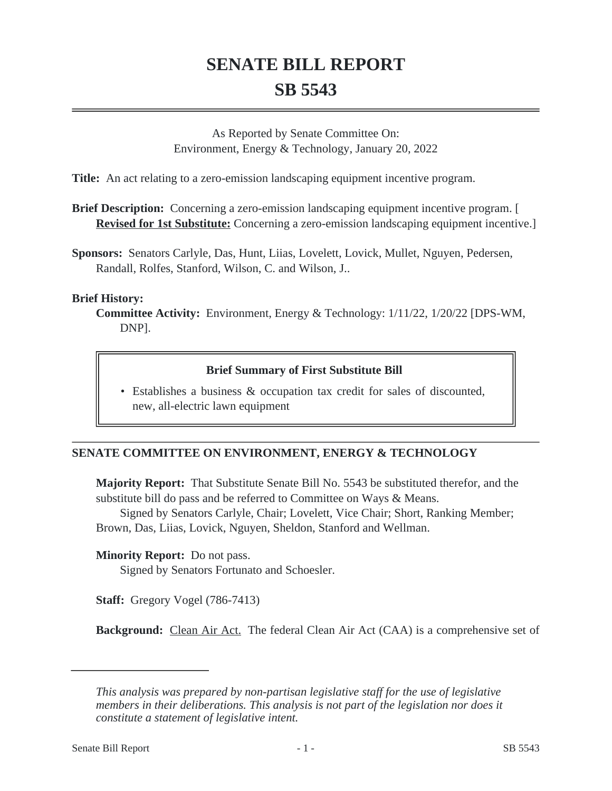# **SENATE BILL REPORT SB 5543**

As Reported by Senate Committee On: Environment, Energy & Technology, January 20, 2022

**Title:** An act relating to a zero-emission landscaping equipment incentive program.

**Brief Description:** Concerning a zero-emission landscaping equipment incentive program. [ **Revised for 1st Substitute:** Concerning a zero-emission landscaping equipment incentive.]

**Sponsors:** Senators Carlyle, Das, Hunt, Liias, Lovelett, Lovick, Mullet, Nguyen, Pedersen, Randall, Rolfes, Stanford, Wilson, C. and Wilson, J..

#### **Brief History:**

**Committee Activity:** Environment, Energy & Technology: 1/11/22, 1/20/22 [DPS-WM, DNP].

## **Brief Summary of First Substitute Bill**

Establishes a business & occupation tax credit for sales of discounted, • new, all-electric lawn equipment

## **SENATE COMMITTEE ON ENVIRONMENT, ENERGY & TECHNOLOGY**

**Majority Report:** That Substitute Senate Bill No. 5543 be substituted therefor, and the substitute bill do pass and be referred to Committee on Ways & Means.

Signed by Senators Carlyle, Chair; Lovelett, Vice Chair; Short, Ranking Member; Brown, Das, Liias, Lovick, Nguyen, Sheldon, Stanford and Wellman.

**Minority Report:** Do not pass.

Signed by Senators Fortunato and Schoesler.

**Staff:** Gregory Vogel (786-7413)

**Background:** Clean Air Act. The federal Clean Air Act (CAA) is a comprehensive set of

*This analysis was prepared by non-partisan legislative staff for the use of legislative members in their deliberations. This analysis is not part of the legislation nor does it constitute a statement of legislative intent.*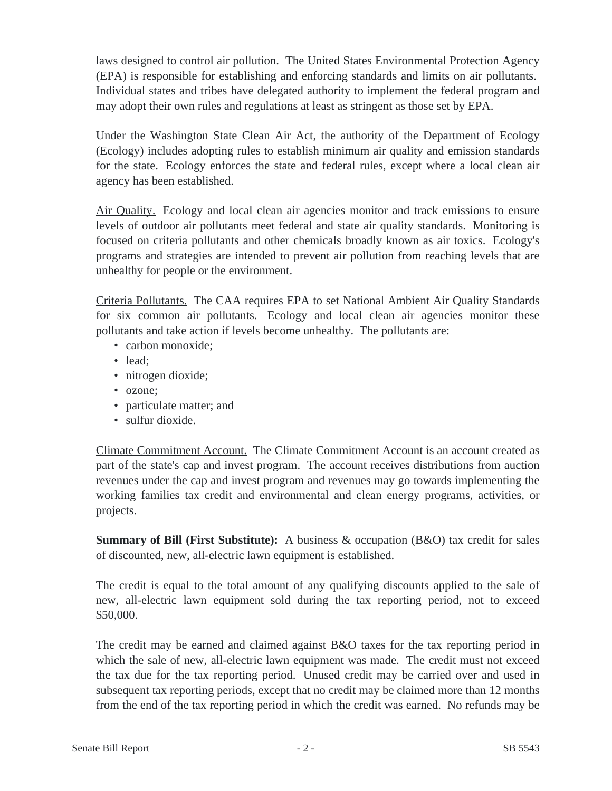laws designed to control air pollution. The United States Environmental Protection Agency (EPA) is responsible for establishing and enforcing standards and limits on air pollutants. Individual states and tribes have delegated authority to implement the federal program and may adopt their own rules and regulations at least as stringent as those set by EPA.

Under the Washington State Clean Air Act, the authority of the Department of Ecology (Ecology) includes adopting rules to establish minimum air quality and emission standards for the state. Ecology enforces the state and federal rules, except where a local clean air agency has been established.

Air Quality. Ecology and local clean air agencies monitor and track emissions to ensure levels of outdoor air pollutants meet federal and state air quality standards. Monitoring is focused on criteria pollutants and other chemicals broadly known as air toxics. Ecology's programs and strategies are intended to prevent air pollution from reaching levels that are unhealthy for people or the environment.

Criteria Pollutants. The CAA requires EPA to set National Ambient Air Quality Standards for six common air pollutants. Ecology and local clean air agencies monitor these pollutants and take action if levels become unhealthy. The pollutants are:

- carbon monoxide;
- lead:
- nitrogen dioxide;
- ozone;
- particulate matter; and
- sulfur dioxide.

Climate Commitment Account. The Climate Commitment Account is an account created as part of the state's cap and invest program. The account receives distributions from auction revenues under the cap and invest program and revenues may go towards implementing the working families tax credit and environmental and clean energy programs, activities, or projects.

**Summary of Bill (First Substitute):** A business & occupation (B&O) tax credit for sales of discounted, new, all-electric lawn equipment is established.

The credit is equal to the total amount of any qualifying discounts applied to the sale of new, all-electric lawn equipment sold during the tax reporting period, not to exceed \$50,000.

The credit may be earned and claimed against B&O taxes for the tax reporting period in which the sale of new, all-electric lawn equipment was made. The credit must not exceed the tax due for the tax reporting period. Unused credit may be carried over and used in subsequent tax reporting periods, except that no credit may be claimed more than 12 months from the end of the tax reporting period in which the credit was earned. No refunds may be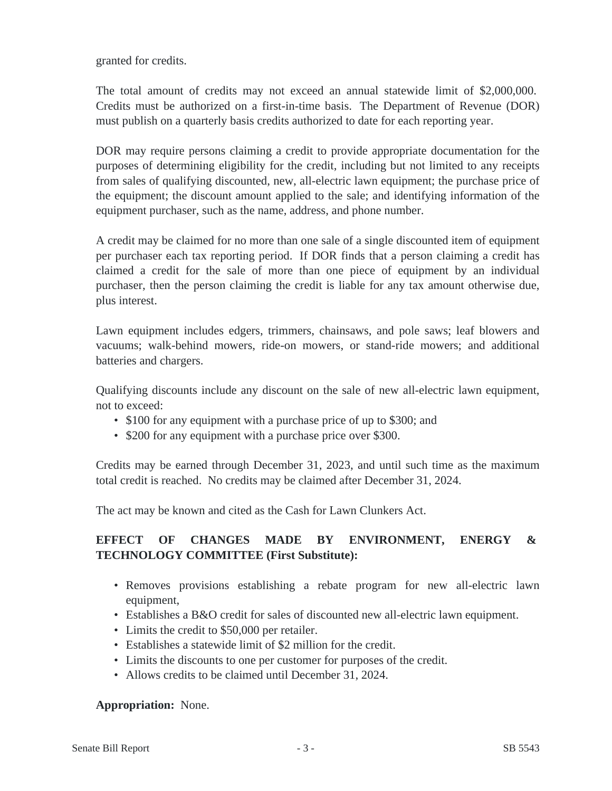granted for credits.

The total amount of credits may not exceed an annual statewide limit of \$2,000,000. Credits must be authorized on a first-in-time basis. The Department of Revenue (DOR) must publish on a quarterly basis credits authorized to date for each reporting year.

DOR may require persons claiming a credit to provide appropriate documentation for the purposes of determining eligibility for the credit, including but not limited to any receipts from sales of qualifying discounted, new, all-electric lawn equipment; the purchase price of the equipment; the discount amount applied to the sale; and identifying information of the equipment purchaser, such as the name, address, and phone number.

A credit may be claimed for no more than one sale of a single discounted item of equipment per purchaser each tax reporting period. If DOR finds that a person claiming a credit has claimed a credit for the sale of more than one piece of equipment by an individual purchaser, then the person claiming the credit is liable for any tax amount otherwise due, plus interest.

Lawn equipment includes edgers, trimmers, chainsaws, and pole saws; leaf blowers and vacuums; walk-behind mowers, ride-on mowers, or stand-ride mowers; and additional batteries and chargers.

Qualifying discounts include any discount on the sale of new all-electric lawn equipment, not to exceed:

- \$100 for any equipment with a purchase price of up to \$300; and
- \$200 for any equipment with a purchase price over \$300.

Credits may be earned through December 31, 2023, and until such time as the maximum total credit is reached. No credits may be claimed after December 31, 2024.

The act may be known and cited as the Cash for Lawn Clunkers Act.

## **EFFECT OF CHANGES MADE BY ENVIRONMENT, ENERGY & TECHNOLOGY COMMITTEE (First Substitute):**

- Removes provisions establishing a rebate program for new all-electric lawn equipment,
- Establishes a B&O credit for sales of discounted new all-electric lawn equipment.
- Limits the credit to \$50,000 per retailer.
- Establishes a statewide limit of \$2 million for the credit.
- Limits the discounts to one per customer for purposes of the credit.
- Allows credits to be claimed until December 31, 2024.

### **Appropriation:** None.